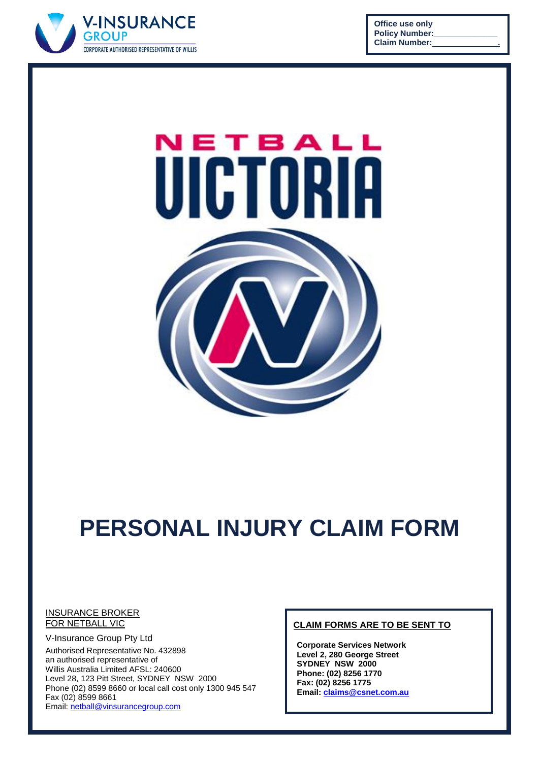

**Office use only Policy Number: Claim Number: .**



# **PERSONAL INJURY CLAIM FORM**

#### INSURANCE BROKER **FOR NETBALL VIC**

V-Insurance Group Pty Ltd Authorised Representative No. 432898 an authorised representative of Willis Australia Limited AFSL: 240600 Level 28, 123 Pitt Street, SYDNEY NSW 2000 Phone (02) 8599 8660 or local call cost only 1300 945 547 Fax (02) 8599 8661 Email: [netball@vinsurancegroup.com](mailto:netball@vinsurancegroup.com)

#### **CLAIM FORMS ARE TO BE SENT TO**

**Corporate Services Network Level 2, 280 George Street SYDNEY NSW 2000 Phone: (02) 8256 1770 Fax: (02) 8256 1775 Email[: claims@csnet.com.au](mailto:claims@csnet.com.au)**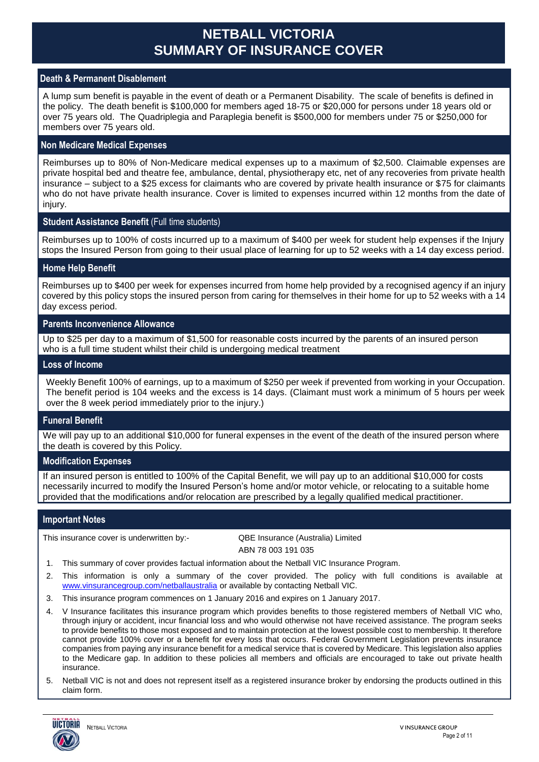## **NETBALL VICTORIA SUMMARY OF INSURANCE COVER**

#### **Death & Permanent Disablement**

A lump sum benefit is payable in the event of death or a Permanent Disability. The scale of benefits is defined in the policy. The death benefit is \$100,000 for members aged 18-75 or \$20,000 for persons under 18 years old or over 75 years old. The Quadriplegia and Paraplegia benefit is \$500,000 for members under 75 or \$250,000 for members over 75 years old.

#### **Non Medicare Medical Expenses**

Reimburses up to 80% of Non-Medicare medical expenses up to a maximum of \$2,500. Claimable expenses are private hospital bed and theatre fee, ambulance, dental, physiotherapy etc, net of any recoveries from private health insurance – subject to a \$25 excess for claimants who are covered by private health insurance or \$75 for claimants who do not have private health insurance. Cover is limited to expenses incurred within 12 months from the date of injury.

#### **Student Assistance Benefit** (Full time students)

Reimburses up to 100% of costs incurred up to a maximum of \$400 per week for student help expenses if the Injury stops the Insured Person from going to their usual place of learning for up to 52 weeks with a 14 day excess period.

#### **Home Help Benefit**

Reimburses up to \$400 per week for expenses incurred from home help provided by a recognised agency if an injury covered by this policy stops the insured person from caring for themselves in their home for up to 52 weeks with a 14 day excess period.

#### **Parents Inconvenience Allowance**

Up to \$25 per day to a maximum of \$1,500 for reasonable costs incurred by the parents of an insured person who is a full time student whilst their child is undergoing medical treatment

#### **Loss of Income**

Weekly Benefit 100% of earnings, up to a maximum of \$250 per week if prevented from working in your Occupation. The benefit period is 104 weeks and the excess is 14 days. (Claimant must work a minimum of 5 hours per week over the 8 week period immediately prior to the injury.)

#### **Funeral Benefit**

We will pay up to an additional \$10,000 for funeral expenses in the event of the death of the insured person where the death is covered by this Policy.

#### **Modification Expenses**

If an insured person is entitled to 100% of the Capital Benefit, we will pay up to an additional \$10,000 for costs necessarily incurred to modify the Insured Person's home and/or motor vehicle, or relocating to a suitable home provided that the modifications and/or relocation are prescribed by a legally qualified medical practitioner.

#### **Important Notes**

This insurance cover is underwritten by:- QBE Insurance (Australia) Limited

ABN 78 003 191 035

- 1. This summary of cover provides factual information about the Netball VIC Insurance Program.
- 2. This information is only a summary of the cover provided. The policy with full conditions is available at [www.vinsurancegroup.com/netballaustralia](http://www.vinsurancegroup.com/netballaustralia) or available by contacting Netball VIC.
- 3. This insurance program commences on 1 January 2016 and expires on 1 January 2017.
- 4. V Insurance facilitates this insurance program which provides benefits to those registered members of Netball VIC who, through injury or accident, incur financial loss and who would otherwise not have received assistance. The program seeks to provide benefits to those most exposed and to maintain protection at the lowest possible cost to membership. It therefore cannot provide 100% cover or a benefit for every loss that occurs. Federal Government Legislation prevents insurance companies from paying any insurance benefit for a medical service that is covered by Medicare. This legislation also applies to the Medicare gap. In addition to these policies all members and officials are encouraged to take out private health insurance.
- 5. Netball VIC is not and does not represent itself as a registered insurance broker by endorsing the products outlined in this claim form.

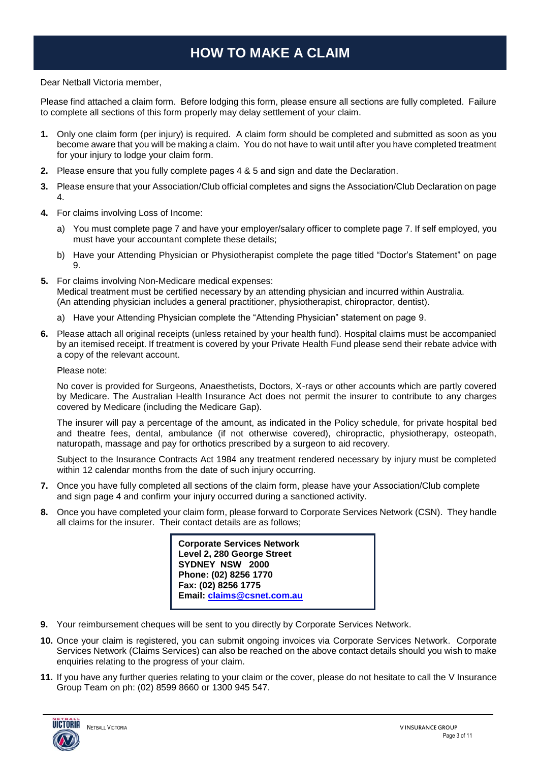# **HOW TO MAKE A CLAIM**

#### Dear Netball Victoria member,

Please find attached a claim form. Before lodging this form, please ensure all sections are fully completed. Failure to complete all sections of this form properly may delay settlement of your claim.

- **1.** Only one claim form (per injury) is required. A claim form should be completed and submitted as soon as you become aware that you will be making a claim. You do not have to wait until after you have completed treatment for your injury to lodge your claim form.
- **2.** Please ensure that you fully complete pages 4 & 5 and sign and date the Declaration.
- **3.** Please ensure that your Association/Club official completes and signs the Association/Club Declaration on page 4.
- **4.** For claims involving Loss of Income:
	- a) You must complete page 7 and have your employer/salary officer to complete page 7. If self employed, you must have your accountant complete these details;
	- b) Have your Attending Physician or Physiotherapist complete the page titled "Doctor's Statement" on page 9.
- **5.** For claims involving Non-Medicare medical expenses: Medical treatment must be certified necessary by an attending physician and incurred within Australia. (An attending physician includes a general practitioner, physiotherapist, chiropractor, dentist).
	- a) Have your Attending Physician complete the "Attending Physician" statement on page 9.
- **6.** Please attach all original receipts (unless retained by your health fund). Hospital claims must be accompanied by an itemised receipt. If treatment is covered by your Private Health Fund please send their rebate advice with a copy of the relevant account.

Please note:

No cover is provided for Surgeons, Anaesthetists, Doctors, X-rays or other accounts which are partly covered by Medicare. The Australian Health Insurance Act does not permit the insurer to contribute to any charges covered by Medicare (including the Medicare Gap).

The insurer will pay a percentage of the amount, as indicated in the Policy schedule, for private hospital bed and theatre fees, dental, ambulance (if not otherwise covered), chiropractic, physiotherapy, osteopath, naturopath, massage and pay for orthotics prescribed by a surgeon to aid recovery.

Subject to the Insurance Contracts Act 1984 any treatment rendered necessary by injury must be completed within 12 calendar months from the date of such injury occurring.

- **7.** Once you have fully completed all sections of the claim form, please have your Association/Club complete and sign page 4 and confirm your injury occurred during a sanctioned activity.
- **8.** Once you have completed your claim form, please forward to Corporate Services Network (CSN). They handle all claims for the insurer. Their contact details are as follows;

**Corporate Services Network Level 2, 280 George Street SYDNEY NSW 2000 Phone: (02) 8256 1770 Fax: (02) 8256 1775 Email: [claims@csnet.com.au](mailto:claims@csnet.com.au)**

- **9.** Your reimbursement cheques will be sent to you directly by Corporate Services Network.
- **10.** Once your claim is registered, you can submit ongoing invoices via Corporate Services Network. Corporate Services Network (Claims Services) can also be reached on the above contact details should you wish to make enquiries relating to the progress of your claim.
- **11.** If you have any further queries relating to your claim or the cover, please do not hesitate to call the V Insurance Group Team on ph: (02) 8599 8660 or 1300 945 547.

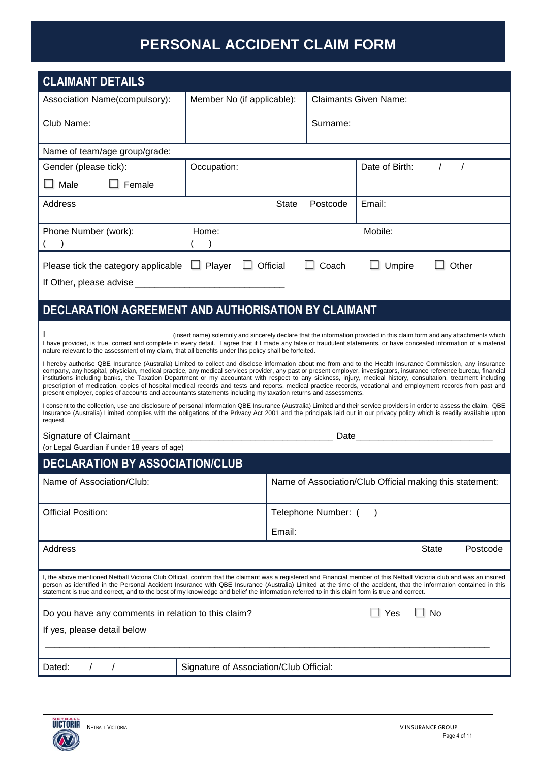# **PERSONAL ACCIDENT CLAIM FORM**

| <b>CLAIMANT DETAILS</b>                                                                                                                                                                                                              |                                         |          |                     |                                                                                                                                                                                                                                                                                                                                                                                                                                                                                                                                                                                                                                                                                                                                                                                                                                                                                                                                                                                                                                                                                                                                                                                                                                                                                                                                      |
|--------------------------------------------------------------------------------------------------------------------------------------------------------------------------------------------------------------------------------------|-----------------------------------------|----------|---------------------|--------------------------------------------------------------------------------------------------------------------------------------------------------------------------------------------------------------------------------------------------------------------------------------------------------------------------------------------------------------------------------------------------------------------------------------------------------------------------------------------------------------------------------------------------------------------------------------------------------------------------------------------------------------------------------------------------------------------------------------------------------------------------------------------------------------------------------------------------------------------------------------------------------------------------------------------------------------------------------------------------------------------------------------------------------------------------------------------------------------------------------------------------------------------------------------------------------------------------------------------------------------------------------------------------------------------------------------|
| Association Name(compulsory):                                                                                                                                                                                                        | Member No (if applicable):              |          |                     | <b>Claimants Given Name:</b>                                                                                                                                                                                                                                                                                                                                                                                                                                                                                                                                                                                                                                                                                                                                                                                                                                                                                                                                                                                                                                                                                                                                                                                                                                                                                                         |
| Club Name:                                                                                                                                                                                                                           |                                         |          | Surname:            |                                                                                                                                                                                                                                                                                                                                                                                                                                                                                                                                                                                                                                                                                                                                                                                                                                                                                                                                                                                                                                                                                                                                                                                                                                                                                                                                      |
| Name of team/age group/grade:                                                                                                                                                                                                        |                                         |          |                     |                                                                                                                                                                                                                                                                                                                                                                                                                                                                                                                                                                                                                                                                                                                                                                                                                                                                                                                                                                                                                                                                                                                                                                                                                                                                                                                                      |
| Gender (please tick):                                                                                                                                                                                                                | Occupation:                             |          |                     | Date of Birth:<br>$\prime$                                                                                                                                                                                                                                                                                                                                                                                                                                                                                                                                                                                                                                                                                                                                                                                                                                                                                                                                                                                                                                                                                                                                                                                                                                                                                                           |
| Male<br>Female                                                                                                                                                                                                                       |                                         |          |                     |                                                                                                                                                                                                                                                                                                                                                                                                                                                                                                                                                                                                                                                                                                                                                                                                                                                                                                                                                                                                                                                                                                                                                                                                                                                                                                                                      |
| Address                                                                                                                                                                                                                              |                                         | State    | Postcode            | Email:                                                                                                                                                                                                                                                                                                                                                                                                                                                                                                                                                                                                                                                                                                                                                                                                                                                                                                                                                                                                                                                                                                                                                                                                                                                                                                                               |
| Phone Number (work):                                                                                                                                                                                                                 | Home:                                   |          |                     | Mobile:                                                                                                                                                                                                                                                                                                                                                                                                                                                                                                                                                                                                                                                                                                                                                                                                                                                                                                                                                                                                                                                                                                                                                                                                                                                                                                                              |
| Please tick the category applicable                                                                                                                                                                                                  | $\Box$ Player                           | Official | Coach               | Umpire<br>Other                                                                                                                                                                                                                                                                                                                                                                                                                                                                                                                                                                                                                                                                                                                                                                                                                                                                                                                                                                                                                                                                                                                                                                                                                                                                                                                      |
|                                                                                                                                                                                                                                      |                                         |          |                     |                                                                                                                                                                                                                                                                                                                                                                                                                                                                                                                                                                                                                                                                                                                                                                                                                                                                                                                                                                                                                                                                                                                                                                                                                                                                                                                                      |
| DECLARATION AGREEMENT AND AUTHORISATION BY CLAIMANT                                                                                                                                                                                  |                                         |          |                     |                                                                                                                                                                                                                                                                                                                                                                                                                                                                                                                                                                                                                                                                                                                                                                                                                                                                                                                                                                                                                                                                                                                                                                                                                                                                                                                                      |
| nature relevant to the assessment of my claim, that all benefits under this policy shall be forfeited.<br>present employer, copies of accounts and accountants statements including my taxation returns and assessments.<br>request. |                                         |          |                     | (insert name) solemnly and sincerely declare that the information provided in this claim form and any attachments which<br>I have provided, is true, correct and complete in every detail. I agree that if I made any false or fraudulent statements, or have concealed information of a material<br>I hereby authorise QBE Insurance (Australia) Limited to collect and disclose information about me from and to the Health Insurance Commission, any insurance<br>company, any hospital, physician, medical practice, any medical services provider, any past or present employer, investigators, insurance reference bureau, financial<br>institutions including banks, the Taxation Department or my accountant with respect to any sickness, injury, medical history, consultation, treatment including<br>prescription of medication, copies of hospital medical records and tests and reports, medical practice records, vocational and employment records from past and<br>I consent to the collection, use and disclosure of personal information QBE Insurance (Australia) Limited and their service providers in order to assess the claim. QBE<br>Insurance (Australia) Limited complies with the obligations of the Privacy Act 2001 and the principals laid out in our privacy policy which is readily available upon |
|                                                                                                                                                                                                                                      |                                         |          |                     |                                                                                                                                                                                                                                                                                                                                                                                                                                                                                                                                                                                                                                                                                                                                                                                                                                                                                                                                                                                                                                                                                                                                                                                                                                                                                                                                      |
| (or Legal Guardian if under 18 years of age)<br><b>DECLARATION BY ASSOCIATION/CLUB</b>                                                                                                                                               |                                         |          |                     |                                                                                                                                                                                                                                                                                                                                                                                                                                                                                                                                                                                                                                                                                                                                                                                                                                                                                                                                                                                                                                                                                                                                                                                                                                                                                                                                      |
| Name of Association/Club:                                                                                                                                                                                                            |                                         |          |                     | Name of Association/Club Official making this statement:                                                                                                                                                                                                                                                                                                                                                                                                                                                                                                                                                                                                                                                                                                                                                                                                                                                                                                                                                                                                                                                                                                                                                                                                                                                                             |
| <b>Official Position:</b>                                                                                                                                                                                                            |                                         |          | Telephone Number: ( | $\lambda$                                                                                                                                                                                                                                                                                                                                                                                                                                                                                                                                                                                                                                                                                                                                                                                                                                                                                                                                                                                                                                                                                                                                                                                                                                                                                                                            |
|                                                                                                                                                                                                                                      |                                         | Email:   |                     |                                                                                                                                                                                                                                                                                                                                                                                                                                                                                                                                                                                                                                                                                                                                                                                                                                                                                                                                                                                                                                                                                                                                                                                                                                                                                                                                      |
| Address                                                                                                                                                                                                                              |                                         |          |                     | <b>State</b><br>Postcode                                                                                                                                                                                                                                                                                                                                                                                                                                                                                                                                                                                                                                                                                                                                                                                                                                                                                                                                                                                                                                                                                                                                                                                                                                                                                                             |
| statement is true and correct, and to the best of my knowledge and belief the information referred to in this claim form is true and correct.                                                                                        |                                         |          |                     | I, the above mentioned Netball Victoria Club Official, confirm that the claimant was a registered and Financial member of this Netball Victoria club and was an insured<br>person as identified in the Personal Accident Insurance with QBE Insurance (Australia) Limited at the time of the accident, that the information contained in this                                                                                                                                                                                                                                                                                                                                                                                                                                                                                                                                                                                                                                                                                                                                                                                                                                                                                                                                                                                        |
| Do you have any comments in relation to this claim?                                                                                                                                                                                  |                                         |          |                     | Yes<br>_l No                                                                                                                                                                                                                                                                                                                                                                                                                                                                                                                                                                                                                                                                                                                                                                                                                                                                                                                                                                                                                                                                                                                                                                                                                                                                                                                         |
| If yes, please detail below                                                                                                                                                                                                          |                                         |          |                     |                                                                                                                                                                                                                                                                                                                                                                                                                                                                                                                                                                                                                                                                                                                                                                                                                                                                                                                                                                                                                                                                                                                                                                                                                                                                                                                                      |
|                                                                                                                                                                                                                                      |                                         |          |                     |                                                                                                                                                                                                                                                                                                                                                                                                                                                                                                                                                                                                                                                                                                                                                                                                                                                                                                                                                                                                                                                                                                                                                                                                                                                                                                                                      |
| Dated:                                                                                                                                                                                                                               | Signature of Association/Club Official: |          |                     |                                                                                                                                                                                                                                                                                                                                                                                                                                                                                                                                                                                                                                                                                                                                                                                                                                                                                                                                                                                                                                                                                                                                                                                                                                                                                                                                      |

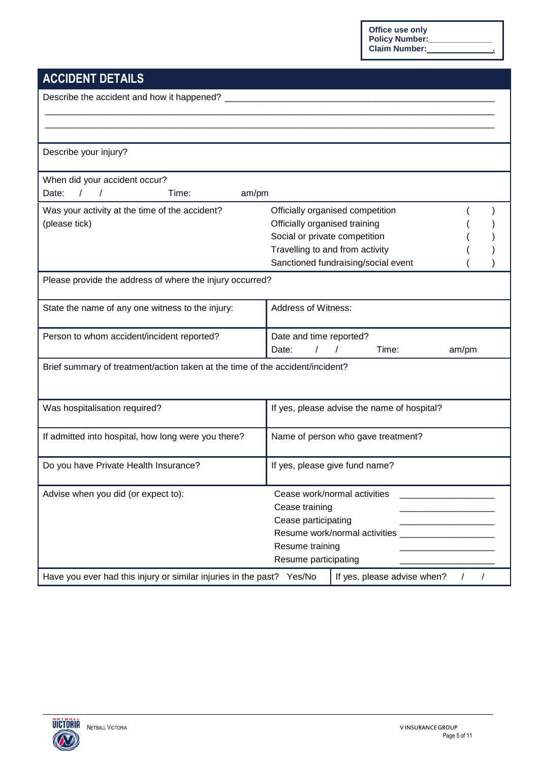**Office use only Policy Number:\_\_\_\_\_\_\_\_\_\_\_\_\_\_ Claim Number: .**

# **ACCIDENT DETAILS**

| Describe the accident and how it happened?                                    |                                                                       |       |            |
|-------------------------------------------------------------------------------|-----------------------------------------------------------------------|-------|------------|
|                                                                               |                                                                       |       |            |
| Describe your injury?                                                         |                                                                       |       |            |
| When did your accident occur?<br>$\left  \right $<br>Date:<br>Time:<br>am/pm  |                                                                       |       |            |
| Was your activity at the time of the accident?                                | Officially organised competition                                      |       |            |
| (please tick)                                                                 | Officially organised training                                         |       |            |
|                                                                               | Social or private competition                                         |       |            |
|                                                                               | Travelling to and from activity                                       |       |            |
|                                                                               | Sanctioned fundraising/social event                                   |       |            |
| Please provide the address of where the injury occurred?                      |                                                                       |       |            |
| State the name of any one witness to the injury:                              | Address of Witness:                                                   |       |            |
| Person to whom accident/incident reported?                                    | Date and time reported?<br>$\overline{1}$<br>Time:<br>Date:           | am/pm |            |
| Brief summary of treatment/action taken at the time of the accident/incident? |                                                                       |       |            |
| Was hospitalisation required?                                                 | If yes, please advise the name of hospital?                           |       |            |
| If admitted into hospital, how long were you there?                           | Name of person who gave treatment?                                    |       |            |
| Do you have Private Health Insurance?                                         | If yes, please give fund name?                                        |       |            |
| Advise when you did (or expect to):                                           | Cease work/normal activities<br>Cease training<br>Cease participating |       |            |
|                                                                               | Resume training<br>Resume participating                               |       |            |
| Have you ever had this injury or similar injuries in the past? Yes/No         | If yes, please advise when?                                           |       | $\sqrt{2}$ |

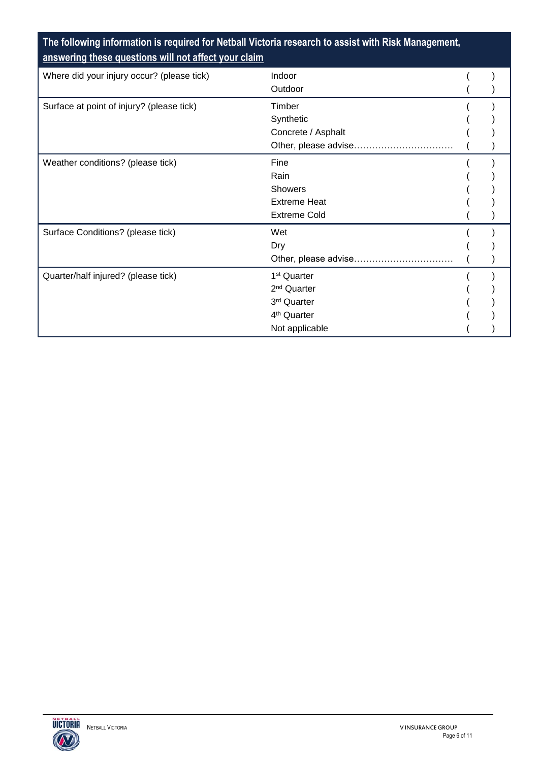### **The following information is required for Netball Victoria research to assist with Risk Management, answering these questions will not affect your claim**

| Where did your injury occur? (please tick) | Indoor                  |  |
|--------------------------------------------|-------------------------|--|
|                                            | Outdoor                 |  |
| Surface at point of injury? (please tick)  | Timber                  |  |
|                                            | Synthetic               |  |
|                                            | Concrete / Asphalt      |  |
|                                            | Other, please advise    |  |
| Weather conditions? (please tick)          | Fine                    |  |
|                                            | Rain                    |  |
|                                            | Showers                 |  |
|                                            | <b>Extreme Heat</b>     |  |
|                                            | <b>Extreme Cold</b>     |  |
| Surface Conditions? (please tick)          | Wet                     |  |
|                                            | Dry                     |  |
|                                            | Other, please advise    |  |
| Quarter/half injured? (please tick)        | 1 <sup>st</sup> Quarter |  |
|                                            | 2 <sup>nd</sup> Quarter |  |
|                                            | 3rd Quarter             |  |
|                                            | 4 <sup>th</sup> Quarter |  |
|                                            | Not applicable          |  |

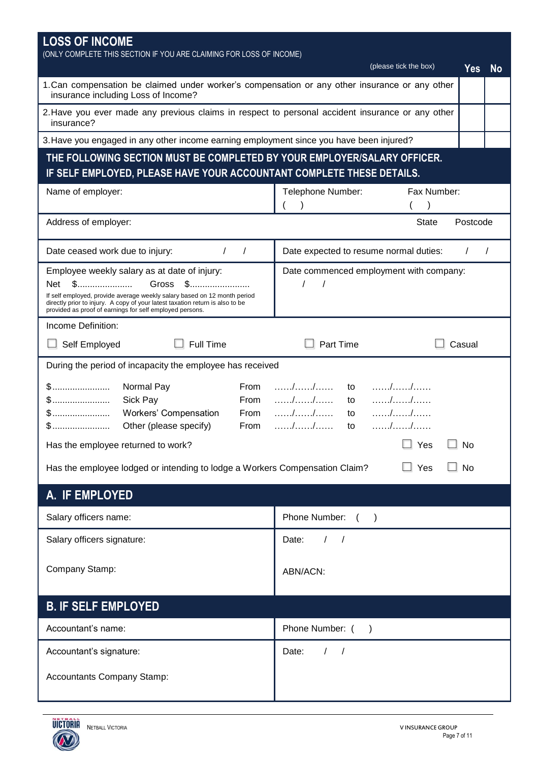| <b>LOSS OF INCOME</b>                                                                                                                                                                                                                                                                                               |                                                    |  |  |
|---------------------------------------------------------------------------------------------------------------------------------------------------------------------------------------------------------------------------------------------------------------------------------------------------------------------|----------------------------------------------------|--|--|
| (ONLY COMPLETE THIS SECTION IF YOU ARE CLAIMING FOR LOSS OF INCOME)                                                                                                                                                                                                                                                 | (please tick the box)<br>Yes<br><b>No</b>          |  |  |
| 1. Can compensation be claimed under worker's compensation or any other insurance or any other<br>insurance including Loss of Income?                                                                                                                                                                               |                                                    |  |  |
| 2. Have you ever made any previous claims in respect to personal accident insurance or any other<br>insurance?                                                                                                                                                                                                      |                                                    |  |  |
| 3. Have you engaged in any other income earning employment since you have been injured?                                                                                                                                                                                                                             |                                                    |  |  |
| THE FOLLOWING SECTION MUST BE COMPLETED BY YOUR EMPLOYER/SALARY OFFICER.<br>IF SELF EMPLOYED, PLEASE HAVE YOUR ACCOUNTANT COMPLETE THESE DETAILS.                                                                                                                                                                   |                                                    |  |  |
| Name of employer:                                                                                                                                                                                                                                                                                                   | Telephone Number:<br>Fax Number:                   |  |  |
| Address of employer:                                                                                                                                                                                                                                                                                                | <b>State</b><br>Postcode                           |  |  |
| Date ceased work due to injury:<br>$\prime$<br>$\sqrt{ }$                                                                                                                                                                                                                                                           | Date expected to resume normal duties:<br>$\prime$ |  |  |
| Employee weekly salary as at date of injury:<br>$$$<br><b>Net</b><br>Gross<br>$\mathbb{S}$<br>If self employed, provide average weekly salary based on 12 month period<br>directly prior to injury. A copy of your latest taxation return is also to be<br>provided as proof of earnings for self employed persons. | Date commenced employment with company:            |  |  |
| Income Definition:                                                                                                                                                                                                                                                                                                  |                                                    |  |  |
| <b>Full Time</b><br>Self Employed                                                                                                                                                                                                                                                                                   | Part Time<br>Casual                                |  |  |
| During the period of incapacity the employee has received                                                                                                                                                                                                                                                           |                                                    |  |  |
| \$……………………<br>Normal Pay<br>From<br>$$$<br>Sick Pay<br>From<br>\$……………………<br>Workers' Compensation<br>From<br>$$$<br>Other (please specify)<br>From                                                                                                                                                                 | $\frac{1}{2}$<br>to<br>to<br>to<br>to              |  |  |
| Has the employee returned to work?                                                                                                                                                                                                                                                                                  | No<br>Yes                                          |  |  |
| Has the employee lodged or intending to lodge a Workers Compensation Claim?                                                                                                                                                                                                                                         | Yes<br>No                                          |  |  |
| A. IF EMPLOYED                                                                                                                                                                                                                                                                                                      |                                                    |  |  |
| Salary officers name:                                                                                                                                                                                                                                                                                               | Phone Number:<br>$\lambda$                         |  |  |
| Salary officers signature:                                                                                                                                                                                                                                                                                          | Date:<br>$\sqrt{2}$<br>$\sqrt{ }$                  |  |  |
| Company Stamp:                                                                                                                                                                                                                                                                                                      | ABN/ACN:                                           |  |  |
| <b>B. IF SELF EMPLOYED</b>                                                                                                                                                                                                                                                                                          |                                                    |  |  |
| Accountant's name:                                                                                                                                                                                                                                                                                                  | Phone Number: ()                                   |  |  |
| Accountant's signature:                                                                                                                                                                                                                                                                                             | Date:<br>$\sqrt{2}$<br>$\sqrt{ }$                  |  |  |
| <b>Accountants Company Stamp:</b>                                                                                                                                                                                                                                                                                   |                                                    |  |  |

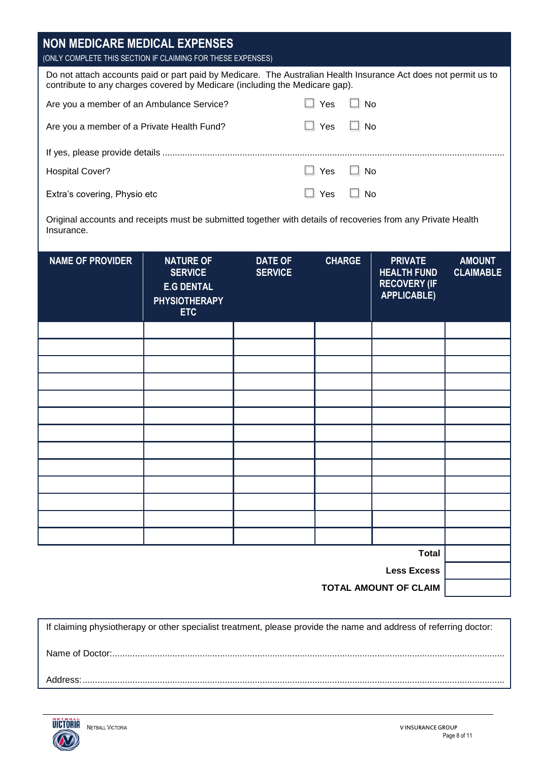| (ONLY COMPLETE THIS SECTION IF CLAIMING FOR THESE EXPENSES)                                                                                                                                                                                                        |                                   |
|--------------------------------------------------------------------------------------------------------------------------------------------------------------------------------------------------------------------------------------------------------------------|-----------------------------------|
| Do not attach accounts paid or part paid by Medicare. The Australian Health Insurance Act does not permit us to<br>contribute to any charges covered by Medicare (including the Medicare gap).                                                                     |                                   |
| $\Box$ Yes<br>Are you a member of an Ambulance Service?<br>  No                                                                                                                                                                                                    |                                   |
| Yes<br>∃ No<br>Are you a member of a Private Health Fund?                                                                                                                                                                                                          |                                   |
|                                                                                                                                                                                                                                                                    |                                   |
| $\Box$ Yes<br>$\Box$ No<br><b>Hospital Cover?</b>                                                                                                                                                                                                                  |                                   |
| Yes<br>$\Box$ No<br>Extra's covering, Physio etc                                                                                                                                                                                                                   |                                   |
| Original accounts and receipts must be submitted together with details of recoveries from any Private Health<br>Insurance.                                                                                                                                         |                                   |
| <b>CHARGE</b><br><b>NAME OF PROVIDER</b><br><b>NATURE OF</b><br><b>DATE OF</b><br><b>PRIVATE</b><br><b>SERVICE</b><br><b>SERVICE</b><br><b>HEALTH FUND</b><br><b>RECOVERY (IF</b><br><b>E.G DENTAL</b><br><b>APPLICABLE)</b><br><b>PHYSIOTHERAPY</b><br><b>ETC</b> | <b>AMOUNT</b><br><b>CLAIMABLE</b> |
|                                                                                                                                                                                                                                                                    |                                   |
|                                                                                                                                                                                                                                                                    |                                   |
|                                                                                                                                                                                                                                                                    |                                   |
|                                                                                                                                                                                                                                                                    |                                   |
|                                                                                                                                                                                                                                                                    |                                   |
|                                                                                                                                                                                                                                                                    |                                   |
|                                                                                                                                                                                                                                                                    |                                   |
|                                                                                                                                                                                                                                                                    |                                   |
|                                                                                                                                                                                                                                                                    |                                   |
|                                                                                                                                                                                                                                                                    |                                   |
|                                                                                                                                                                                                                                                                    |                                   |
|                                                                                                                                                                                                                                                                    |                                   |
| <b>Total</b>                                                                                                                                                                                                                                                       |                                   |
| <b>Less Excess</b><br><b>TOTAL AMOUNT OF CLAIM</b>                                                                                                                                                                                                                 |                                   |

If claiming physiotherapy or other specialist treatment, please provide the name and address of referring doctor: Name of Doctor:............................................................................................................................................................. Address:.........................................................................................................................................................................

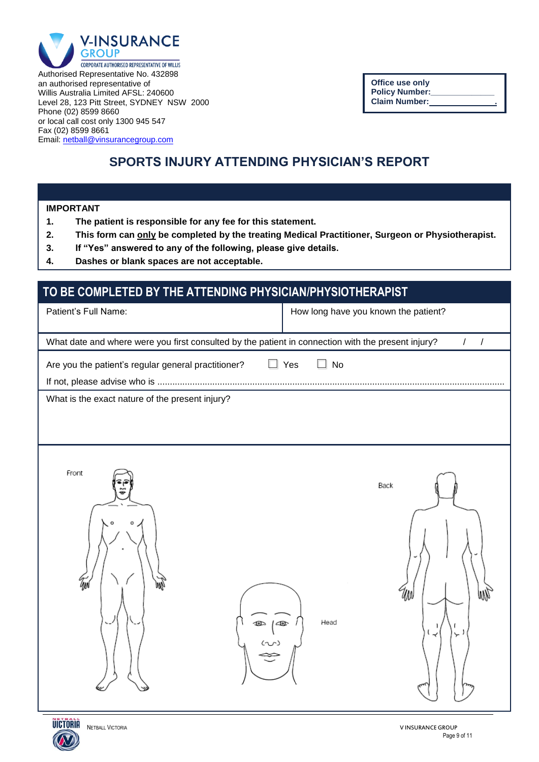

Authorised Representative No. 432898 an authorised representative of Willis Australia Limited AFSL: 240600 Level 28, 123 Pitt Street, SYDNEY NSW 2000 Phone (02) 8599 8660 or local call cost only 1300 945 547 Fax (02) 8599 8661 Email[: netball@vinsurancegroup.com](mailto:netball@vinsurancegroup.com)

| <b>Office use only</b> |   |
|------------------------|---|
| <b>Policy Number:</b>  |   |
| <b>Claim Number:</b>   | ٠ |

# **SPORTS INJURY ATTENDING PHYSICIAN'S REPORT**

**IMPORTANT** 

- **1. The patient is responsible for any fee for this statement.**
- **2. This form can only be completed by the treating Medical Practitioner, Surgeon or Physiotherapist.**
- **3. If "Yes" answered to any of the following, please give details.**
- **4. Dashes or blank spaces are not acceptable.**

### **TO BE COMPLETED BY THE ATTENDING PHYSICIAN/PHYSIOTHERAPIST**

| Patient's Full Name:                                                                               | How long have you known the patient? |
|----------------------------------------------------------------------------------------------------|--------------------------------------|
| What date and where were you first consulted by the patient in connection with the present injury? | $\overline{1}$<br>$\prime$           |
| Are you the patient's regular general practitioner?                                                | $\Box$ Yes<br>$\Box$ No              |
| What is the exact nature of the present injury?                                                    |                                      |
|                                                                                                    |                                      |
| Front<br>Ĩм<br>$rac{1}{2}$                                                                         | Back<br>W<br>WW<br>Head<br>≺<br>↘    |

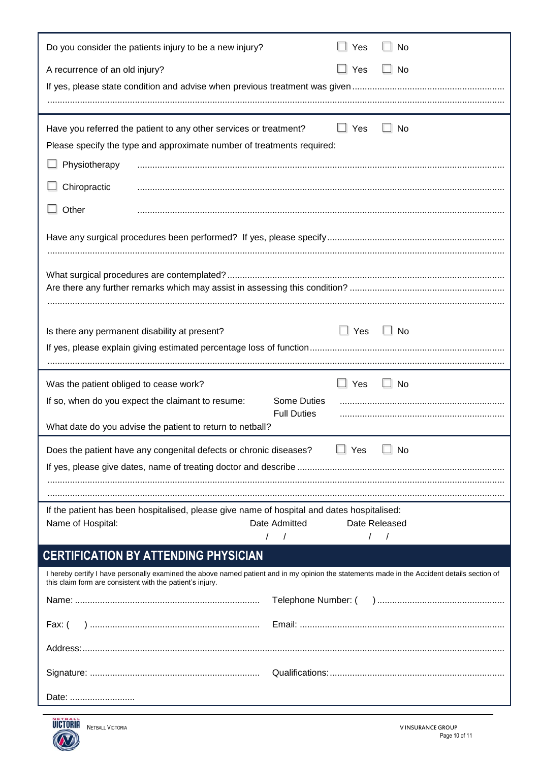| Do you consider the patients injury to be a new injury?<br>$\Box$ Yes<br>$\Box$ No                                                                                                                        |
|-----------------------------------------------------------------------------------------------------------------------------------------------------------------------------------------------------------|
| $\Box$ Yes<br>$\Box$ No<br>A recurrence of an old injury?                                                                                                                                                 |
|                                                                                                                                                                                                           |
|                                                                                                                                                                                                           |
| $\Box$ Yes<br>$\Box$ No<br>Have you referred the patient to any other services or treatment?                                                                                                              |
| Please specify the type and approximate number of treatments required:                                                                                                                                    |
| Physiotherapy                                                                                                                                                                                             |
| Chiropractic                                                                                                                                                                                              |
| Other                                                                                                                                                                                                     |
|                                                                                                                                                                                                           |
|                                                                                                                                                                                                           |
|                                                                                                                                                                                                           |
|                                                                                                                                                                                                           |
| $\Box$ Yes<br>$\Box$ No<br>Is there any permanent disability at present?                                                                                                                                  |
|                                                                                                                                                                                                           |
|                                                                                                                                                                                                           |
|                                                                                                                                                                                                           |
| $\Box$ Yes<br>$\Box$ No<br>Was the patient obliged to cease work?                                                                                                                                         |
| If so, when do you expect the claimant to resume:<br>Some Duties                                                                                                                                          |
| <b>Full Duties</b><br>What date do you advise the patient to return to netball?                                                                                                                           |
| $\Box$ Yes<br>$\Box$ No<br>Does the patient have any congenital defects or chronic diseases?                                                                                                              |
|                                                                                                                                                                                                           |
|                                                                                                                                                                                                           |
| If the patient has been hospitalised, please give name of hospital and dates hospitalised:                                                                                                                |
| Date Admitted<br>Name of Hospital:<br>Date Released                                                                                                                                                       |
| $\sqrt{ }$<br>$\prime$                                                                                                                                                                                    |
| <b>CERTIFICATION BY ATTENDING PHYSICIAN</b>                                                                                                                                                               |
| I hereby certify I have personally examined the above named patient and in my opinion the statements made in the Accident details section of<br>this claim form are consistent with the patient's injury. |
|                                                                                                                                                                                                           |
| Fax: (                                                                                                                                                                                                    |
|                                                                                                                                                                                                           |
|                                                                                                                                                                                                           |